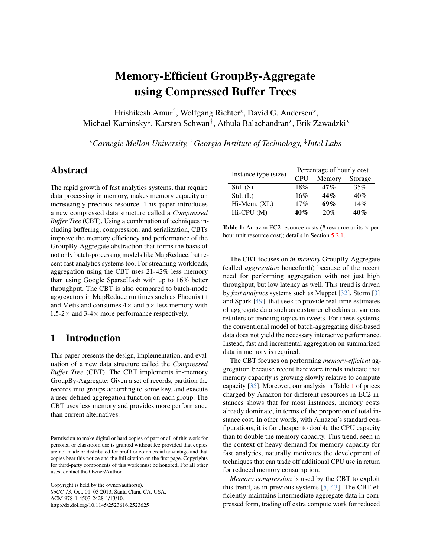# Memory-Efficient GroupBy-Aggregate using Compressed Buffer Trees

Hrishikesh Amur<sup>†</sup>, Wolfgang Richter\*, David G. Andersen\*, Michael Kaminsky<sup>‡</sup>, Karsten Schwan<sup>†</sup>, Athula Balachandran\*, Erik Zawadzki\*

?*Carnegie Mellon University,* †*Georgia Institute of Technology,* ‡ *Intel Labs*

# Abstract

The rapid growth of fast analytics systems, that require data processing in memory, makes memory capacity an increasingly-precious resource. This paper introduces a new compressed data structure called a *Compressed Buffer Tree* (CBT). Using a combination of techniques including buffering, compression, and serialization, CBTs improve the memory efficiency and performance of the GroupBy-Aggregate abstraction that forms the basis of not only batch-processing models like MapReduce, but recent fast analytics systems too. For streaming workloads, aggregation using the CBT uses 21-42% less memory than using Google SparseHash with up to 16% better throughput. The CBT is also compared to batch-mode aggregators in MapReduce runtimes such as Phoenix++ and Metis and consumes  $4 \times$  and  $5 \times$  less memory with  $1.5-2\times$  and  $3-4\times$  more performance respectively.

# <span id="page-0-1"></span>1 Introduction

This paper presents the design, implementation, and evaluation of a new data structure called the *Compressed Buffer Tree* (CBT). The CBT implements in-memory GroupBy-Aggregate: Given a set of records, partition the records into groups according to some key, and execute a user-defined aggregation function on each group. The CBT uses less memory and provides more performance than current alternatives.

Permission to make digital or hard copies of part or all of this work for personal or classroom use is granted without fee provided that copies are not made or distributed for profit or commercial advantage and that copies bear this notice and the full citation on the first page. Copyrights for third-party components of this work must be honored. For all other uses, contact the Owner/Author.

Copyright is held by the owner/author(s). *SoCC'13*, Oct. 01–03 2013, Santa Clara, CA, USA. ACM 978-1-4503-2428-1/13/10. http://dx.doi.org/10.1145/2523616.2523625

<span id="page-0-0"></span>

|                      | Percentage of hourly cost |        |         |  |  |
|----------------------|---------------------------|--------|---------|--|--|
| Instance type (size) | <b>CPU</b>                | Memory | Storage |  |  |
| Std. (S)             | 18%                       | 47%    | 35%     |  |  |
| Std. (L)             | 16%                       | 44%    | 40%     |  |  |
| Hi-Mem. (XL)         | 17%                       | 69%    | 14%     |  |  |
| $Hi-CPU(M)$          | 40%                       | 20%    | 40%     |  |  |

**Table 1:** Amazon EC2 resource costs (# resource units  $\times$  perhour unit resource cost); details in Section [5.2.1.](#page-9-0)

The CBT focuses on *in-memory* GroupBy-Aggregate (called *aggregation* henceforth) because of the recent need for performing aggregation with not just high throughput, but low latency as well. This trend is driven by *fast analytics* systems such as Muppet [\[32\]](#page-14-0), Storm [\[3\]](#page-13-0) and Spark [\[49\]](#page-15-0), that seek to provide real-time estimates of aggregate data such as customer checkins at various retailers or trending topics in tweets. For these systems, the conventional model of batch-aggregating disk-based data does not yield the necessary interactive performance. Instead, fast and incremental aggregation on summarized data in memory is required.

The CBT focuses on performing *memory-efficient* aggregation because recent hardware trends indicate that memory capacity is growing slowly relative to compute capacity [\[35\]](#page-14-1). Moreover, our analysis in Table [1](#page-0-0) of prices charged by Amazon for different resources in EC2 instances shows that for most instances, memory costs already dominate, in terms of the proportion of total instance cost. In other words, with Amazon's standard configurations, it is far cheaper to double the CPU capacity than to double the memory capacity. This trend, seen in the context of heavy demand for memory capacity for fast analytics, naturally motivates the development of techniques that can trade off additional CPU use in return for reduced memory consumption.

*Memory compression* is used by the CBT to exploit this trend, as in previous systems [\[5,](#page-13-1) [43\]](#page-15-1). The CBT efficiently maintains intermediate aggregate data in compressed form, trading off extra compute work for reduced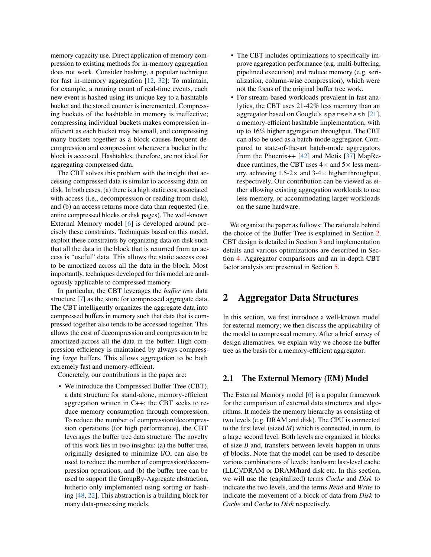memory capacity use. Direct application of memory compression to existing methods for in-memory aggregation does not work. Consider hashing, a popular technique for fast in-memory aggregation [\[12,](#page-14-2) [32\]](#page-14-0): To maintain, for example, a running count of real-time events, each new event is hashed using its unique key to a hashtable bucket and the stored counter is incremented. Compressing buckets of the hashtable in memory is ineffective; compressing individual buckets makes compression inefficient as each bucket may be small, and compressing many buckets together as a block causes frequent decompression and compression whenever a bucket in the block is accessed. Hashtables, therefore, are not ideal for aggregating compressed data.

The CBT solves this problem with the insight that accessing compressed data is similar to accessing data on disk. In both cases, (a) there is a high static cost associated with access (*i.e.*, decompression or reading from disk), and (b) an access returns more data than requested (i.e. entire compressed blocks or disk pages). The well-known External Memory model [\[6\]](#page-13-2) is developed around precisely these constraints. Techniques based on this model, exploit these constraints by organizing data on disk such that all the data in the block that is returned from an access is "useful" data. This allows the static access cost to be amortized across all the data in the block. Most importantly, techniques developed for this model are analogously applicable to compressed memory.

In particular, the CBT leverages the *buffer tree* data structure [\[7\]](#page-14-3) as the store for compressed aggregate data. The CBT intelligently organizes the aggregate data into compressed buffers in memory such that data that is compressed together also tends to be accessed together. This allows the cost of decompression and compression to be amortized across all the data in the buffer. High compression efficiency is maintained by always compressing *large* buffers. This allows aggregation to be both extremely fast and memory-efficient.

Concretely, our contributions in the paper are:

• We introduce the Compressed Buffer Tree (CBT), a data structure for stand-alone, memory-efficient aggregation written in C++; the CBT seeks to reduce memory consumption through compression. To reduce the number of compression/decompression operations (for high performance), the CBT leverages the buffer tree data structure. The novelty of this work lies in two insights: (a) the buffer tree, originally designed to minimize I/O, can also be used to reduce the number of compression/decompression operations, and (b) the buffer tree can be used to support the GroupBy-Aggregate abstraction, hitherto only implemented using sorting or hashing [\[48,](#page-15-2) [22\]](#page-14-4). This abstraction is a building block for many data-processing models.

- The CBT includes optimizations to specifically improve aggregation performance (e.g. multi-buffering, pipelined execution) and reduce memory (e.g. serialization, column-wise compression), which were not the focus of the original buffer tree work.
- For stream-based workloads prevalent in fast analytics, the CBT uses 21-42% less memory than an aggregator based on Google's sparsehash [\[21\]](#page-14-5), a memory-efficient hashtable implementation, with up to 16% higher aggregation throughput. The CBT can also be used as a batch-mode aggregator. Compared to state-of-the-art batch-mode aggregators from the Phoenix++  $[42]$  and Metis  $[37]$  MapReduce runtimes, the CBT uses  $4 \times$  and  $5 \times$  less memory, achieving  $1.5-2 \times$  and  $3-4 \times$  higher throughput, respectively. Our contribution can be viewed as either allowing existing aggregation workloads to use less memory, or accommodating larger workloads on the same hardware.

We organize the paper as follows: The rationale behind the choice of the Buffer Tree is explained in Section [2.](#page-1-0) CBT design is detailed in Section [3](#page-3-0) and implementation details and various optimizations are described in Section [4.](#page-6-0) Aggregator comparisons and an in-depth CBT factor analysis are presented in Section [5.](#page-7-0)

### <span id="page-1-0"></span>2 Aggregator Data Structures

In this section, we first introduce a well-known model for external memory; we then discuss the applicability of the model to compressed memory. After a brief survey of design alternatives, we explain why we choose the buffer tree as the basis for a memory-efficient aggregator.

### <span id="page-1-1"></span>2.1 The External Memory (EM) Model

The External Memory model [\[6\]](#page-13-2) is a popular framework for the comparison of external data structures and algorithms. It models the memory hierarchy as consisting of two levels (e.g. DRAM and disk). The CPU is connected to the first level (sized *M*) which is connected, in turn, to a large second level. Both levels are organized in blocks of size *B* and, transfers between levels happen in units of blocks. Note that the model can be used to describe various combinations of levels: hardware last-level cache (LLC)/DRAM or DRAM/hard disk etc. In this section, we will use the (capitalized) terms *Cache* and *Disk* to indicate the two levels, and the terms *Read* and *Write* to indicate the movement of a block of data from *Disk* to *Cache* and *Cache* to *Disk* respectively.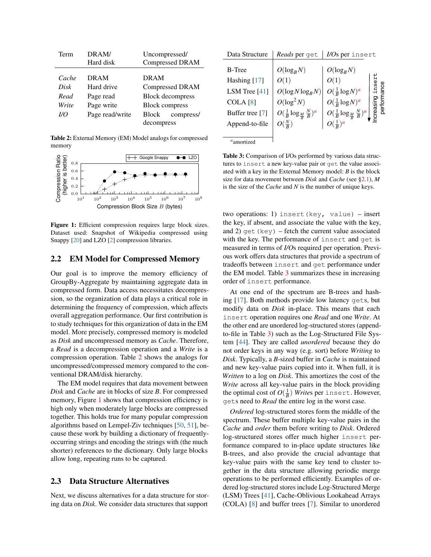<span id="page-2-0"></span>

| Term  | DRAM/           | Uncompressed/           |
|-------|-----------------|-------------------------|
|       | Hard disk       | <b>Compressed DRAM</b>  |
|       |                 |                         |
| Cache | <b>DRAM</b>     | <b>DRAM</b>             |
| Disk  | Hard drive      | <b>Compressed DRAM</b>  |
| Read  | Page read       | <b>Block</b> decompress |
| Write | Page write      | <b>Block compress</b>   |
| UQ    | Page read/write | Block<br>compress/      |
|       |                 | decompress              |

Table 2: External Memory (EM) Model analogs for compressed memory

<span id="page-2-1"></span>

Figure 1: Efficient compression requires large block sizes. Dataset used: Snapshot of Wikipedia compressed using Snappy [\[20\]](#page-14-6) and LZO [\[2\]](#page-13-3) compression libraries.

### 2.2 EM Model for Compressed Memory

Our goal is to improve the memory efficiency of GroupBy-Aggregate by maintaining aggregate data in compressed form. Data access necessitates decompression, so the organization of data plays a critical role in determining the frequency of compression, which affects overall aggregation performance. Our first contribution is to study techniques for this organization of data in the EM model. More precisely, compressed memory is modeled as *Disk* and uncompressed memory as *Cache*. Therefore, a *Read* is a decompression operation and a *Write* is a compression operation. Table [2](#page-2-0) shows the analogs for uncompressed/compressed memory compared to the conventional DRAM/disk hierarchy.

The EM model requires that data movement between *Disk* and *Cache* are in blocks of size *B*. For compressed memory, Figure [1](#page-2-1) shows that compression efficiency is high only when moderately large blocks are compressed together. This holds true for many popular compression algorithms based on Lempel-Ziv techniques [\[50,](#page-15-5) [51\]](#page-15-6), because these work by building a dictionary of frequentlyoccurring strings and encoding the strings with (the much shorter) references to the dictionary. Only large blocks allow long, repeating runs to be captured.

### <span id="page-2-4"></span>2.3 Data Structure Alternatives

Next, we discuss alternatives for a data structure for storing data on *Disk*. We consider data structures that support

<span id="page-2-2"></span>

| Data Structure                                                                                    | Reads per get                                                                                                                        | <i>I/Os per insert</i>                                                                                                                        |                                      |
|---------------------------------------------------------------------------------------------------|--------------------------------------------------------------------------------------------------------------------------------------|-----------------------------------------------------------------------------------------------------------------------------------------------|--------------------------------------|
| <b>B-Tree</b><br>Hashing [17]<br>LSM Tree $[41]$<br>COLA [8]<br>Buffer tree [7]<br>Append-to-file | $O(log_B N)$<br>O(1)<br>$O(\log N \log_R N)$<br>$O(\log^2 N)$<br>$O(\frac{1}{B}\log_{\frac{M}{B}}\frac{N}{B})^a$<br>$O(\frac{N}{R})$ | $O(log_B N)$<br>$O(\frac{1}{B}\log N)^a$<br>$O(\frac{1}{B}\log N)^a$<br>$O(\frac{1}{B}\log_{\frac{M}{B}}\frac{N}{B})^a$<br>$O(\frac{1}{R})^a$ | insert<br>ance<br>Increasir<br>perfo |
| <sup>a</sup> amortized                                                                            |                                                                                                                                      |                                                                                                                                               |                                      |

<span id="page-2-3"></span>Table 3: Comparison of I/Os performed by various data structures to insert a new key-value pair or get the value associated with a key in the External Memory model: *B* is the block size for data movement between *Disk* and *Cache* (see [§2.1\)](#page-1-1), *M* is the size of the *Cache* and *N* is the number of unique keys.

two operations: 1) insert (key, value) – insert the key, if absent, and associate the value with the key, and 2) get (key) – fetch the current value associated with the key. The performance of insert and get is measured in terms of *I/O*s required per operation. Previous work offers data structures that provide a spectrum of tradeoffs between insert and get performance under the EM model. Table [3](#page-2-2) summarizes these in increasing order of insert performance.

At one end of the spectrum are B-trees and hashing [\[17\]](#page-14-7). Both methods provide low latency gets, but modify data on *Disk* in-place. This means that each insert operation requires one *Read* and one *Write*. At the other end are unordered log-structured stores (appendto-file in Table [3\)](#page-2-2) such as the Log-Structured File System [\[44\]](#page-15-8). They are called *unordered* because they do not order keys in any way (e.g. sort) before *Writing* to *Disk*. Typically, a *B*-sized buffer in *Cache* is maintained and new key-value pairs copied into it. When full, it is *Written* to a log on *Disk*. This amortizes the cost of the *Write* across all key-value pairs in the block providing the optimal cost of  $O(\frac{1}{B})$  *Write*s per insert. However, gets need to *Read* the entire log in the worst case.

*Ordered* log-structured stores form the middle of the spectrum. These buffer multiple key-value pairs in the *Cache* and *order* them before writing to *Disk*. Ordered log-structured stores offer much higher insert performance compared to in-place update structures like B-trees, and also provide the crucial advantage that key-value pairs with the same key tend to cluster together in the data structure allowing periodic merge operations to be performed efficiently. Examples of ordered log-structured stores include Log-Structured Merge (LSM) Trees [\[41\]](#page-15-7), Cache-Oblivious Lookahead Arrays (COLA) [\[8\]](#page-14-8) and buffer trees [\[7\]](#page-14-3). Similar to unordered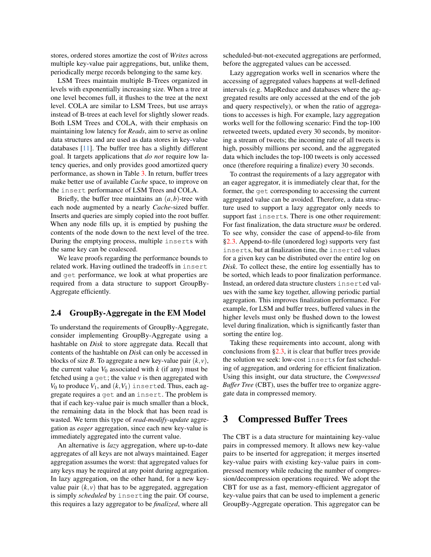stores, ordered stores amortize the cost of *Writes* across multiple key-value pair aggregations, but, unlike them, periodically merge records belonging to the same key.

LSM Trees maintain multiple B-Trees organized in levels with exponentially increasing size. When a tree at one level becomes full, it flushes to the tree at the next level. COLA are similar to LSM Trees, but use arrays instead of B-trees at each level for slightly slower reads. Both LSM Trees and COLA, with their emphasis on maintaining low latency for *Reads*, aim to serve as online data structures and are used as data stores in key-value databases [\[11\]](#page-14-9). The buffer tree has a slightly different goal. It targets applications that *do not* require low latency queries, and only provides good amortized query performance, as shown in Table [3.](#page-2-2) In return, buffer trees make better use of available *Cache* space, to improve on the insert performance of LSM Trees and COLA.

Briefly, the buffer tree maintains an  $(a, b)$ -tree with each node augmented by a nearly *Cache*-sized buffer. Inserts and queries are simply copied into the root buffer. When any node fills up, it is emptied by pushing the contents of the node down to the next level of the tree. During the emptying process, multiple inserts with the same key can be coalesced.

We leave proofs regarding the performance bounds to related work. Having outlined the tradeoffs in insert and get performance, we look at what properties are required from a data structure to support GroupBy-Aggregate efficiently.

### 2.4 GroupBy-Aggregate in the EM Model

To understand the requirements of GroupBy-Aggregate, consider implementing GroupBy-Aggregate using a hashtable on *Disk* to store aggregate data. Recall that contents of the hashtable on *Disk* can only be accessed in blocks of size *B*. To aggregate a new key-value pair  $(k, v)$ , the current value  $V_0$  associated with  $k$  (if any) must be fetched using a  $qet$ ; the value  $\nu$  is then aggregated with  $V_0$  to produce  $V_1$ , and  $(k, V_1)$  inserted. Thus, each aggregate requires a get and an insert. The problem is that if each key-value pair is much smaller than a block, the remaining data in the block that has been read is wasted. We term this type of *read-modify-update* aggregation as *eager* aggregation, since each new key-value is immediately aggregated into the current value.

An alternative is *lazy* aggregation, where up-to-date aggregates of all keys are not always maintained. Eager aggregation assumes the worst: that aggregated values for any keys may be required at any point during aggregation. In lazy aggregation, on the other hand, for a new keyvalue pair  $(k, v)$  that has to be aggregated, aggregation is simply *scheduled* by inserting the pair. Of course, this requires a lazy aggregator to be *finalized*, where all

scheduled-but-not-executed aggregations are performed, before the aggregated values can be accessed.

Lazy aggregation works well in scenarios where the accessing of aggregated values happens at well-defined intervals (e.g. MapReduce and databases where the aggregated results are only accessed at the end of the job and query respectively), or when the ratio of aggregations to accesses is high. For example, lazy aggregation works well for the following scenario: Find the top-100 retweeted tweets, updated every 30 seconds, by monitoring a stream of tweets; the incoming rate of all tweets is high, possibly millions per second, and the aggregated data which includes the top-100 tweets is only accessed once (therefore requiring a finalize) every 30 seconds.

To contrast the requirements of a lazy aggregator with an eager aggregator, it is immediately clear that, for the former, the get corresponding to accessing the current aggregated value can be avoided. Therefore, a data structure used to support a lazy aggregator only needs to support fast inserts. There is one other requirement: For fast finalization, the data structure *must* be ordered. To see why, consider the case of append-to-file from [§2.3.](#page-2-4) Append-to-file (unordered log) supports very fast inserts, but at finalization time, the inserted values for a given key can be distributed over the entire log on *Disk*. To collect these, the entire log essentially has to be sorted, which leads to poor finalization performance. Instead, an ordered data structure clusters inserted values with the same key together, allowing periodic partial aggregation. This improves finalization performance. For example, for LSM and buffer trees, buffered values in the higher levels must only be flushed down to the lowest level during finalization, which is significantly faster than sorting the entire log.

Taking these requirements into account, along with conclusions from  $\S2.3$ , it is clear that buffer trees provide the solution we seek: low-cost inserts for fast scheduling of aggregation, and ordering for efficient finalization. Using this insight, our data structure, the *Compressed Buffer Tree* (CBT), uses the buffer tree to organize aggregate data in compressed memory.

# <span id="page-3-0"></span>3 Compressed Buffer Trees

The CBT is a data structure for maintaining key-value pairs in compressed memory. It allows new key-value pairs to be inserted for aggregation; it merges inserted key-value pairs with existing key-value pairs in compressed memory while reducing the number of compression/decompression operations required. We adopt the CBT for use as a fast, memory-efficient aggregator of key-value pairs that can be used to implement a generic GroupBy-Aggregate operation. This aggregator can be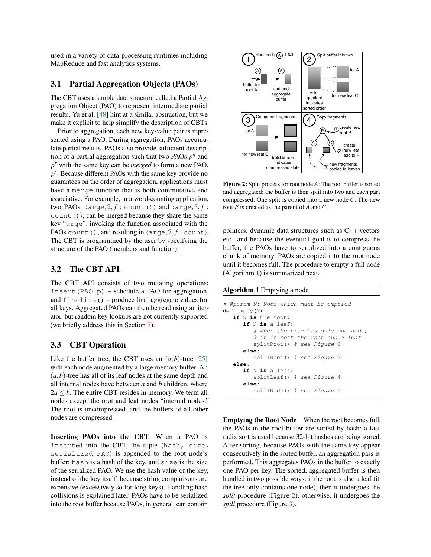used in a variety of data-processing runtimes including MapReduce and fast analytics systems.

### <span id="page-4-2"></span>3.1 Partial Aggregation Objects (PAOs)

The CBT uses a simple data structure called a Partial Aggregation Object (PAO) to represent intermediate partial results. Yu et al. [\[48\]](#page-15-2) hint at a similar abstraction, but we make it explicit to help simplify the description of CBTs.

Prior to aggregation, each new key-value pair is represented using a PAO. During aggregation, PAOs accumulate partial results. PAOs also provide sufficient description of a partial aggregation such that two PAOs  $p<sup>q</sup>$  and *p <sup>r</sup>* with the same key can be *merged* to form a new PAO, *p s* . Because different PAOs with the same key provide no guarantees on the order of aggregation, applications must have a merge function that is both commutative and associative. For example, in a word-counting application, two PAOs:  $\langle \text{arge}, 2, f : \text{count}(\cdot) \rangle$  and  $\langle \text{arge}, 5, f : \rangle$ count (), can be merged because they share the same key "arge", invoking the function associated with the PAOs count (), and resulting in  $\langle \text{arge}, 7, f : \text{count} \rangle$ . The CBT is programmed by the user by specifying the structure of the PAO (members and function).

### 3.2 The CBT API

The CBT API consists of two mutating operations: insert (PAO  $p$ ) – schedule a PAO for aggregation, and finalize() – produce final aggregate values for all keys. Aggregated PAOs can then be read using an iterator, but random key lookups are not currently supported (we briefly address this in Section [7\)](#page-13-4).

### 3.3 CBT Operation

Like the buffer tree, the CBT uses an  $(a,b)$ -tree [\[25\]](#page-14-10) with each node augmented by a large memory buffer. An  $(a, b)$ -tree has all of its leaf nodes at the same depth and all internal nodes have between *a* and *b* children, where  $2a \leq b$ . The entire CBT resides in memory. We term all nodes except the root and leaf nodes "internal nodes." The root is uncompressed, and the buffers of all other nodes are compressed.

Inserting PAOs into the CBT When a PAO is inserted into the CBT, the tuple  $\langle$ hash, size, serialized PAO) is appended to the root node's buffer; hash is a hash of the key, and size is the size of the serialized PAO. We use the hash value of the key, instead of the key itself, because string comparisons are expensive (excessively so for long keys). Handling hash collisions is explained later. PAOs have to be serialized into the root buffer because PAOs, in general, can contain

<span id="page-4-1"></span>

Figure 2: Split process for root node *A*: The root buffer is sorted and aggregated; the buffer is then split into two and each part compressed. One split is copied into a new node *C*. The new root *P* is created as the parent of *A* and *C*.

pointers, dynamic data structures such as C++ vectors etc., and because the eventual goal is to compress the buffer, the PAOs have to serialized into a contiguous chunk of memory. PAOs are copied into the root node until it becomes full. The procedure to empty a full node (Algorithm [1\)](#page-4-0) is summarized next.

#### <span id="page-4-0"></span>Algorithm 1 Emptying a node

```
# @param N: Node which must be emptied
def empty(N):
   if N is the root:
      if N is a leaf:
         # When the tree has only one node,
         # it is both the root and a leaf
         splitRoot() # see Figure 2
      else:
         spillRoot() # see Figure 3
   else:
      if N is a leaf:
         splitLeaf() # see Figure 4
      else:
         spillNode() # see Figure 5
```
Emptying the Root Node When the root becomes full, the PAOs in the root buffer are sorted by hash; a fast radix sort is used because 32-bit hashes are being sorted. After sorting, because PAOs with the same key appear consecutively in the sorted buffer, an aggregation pass is performed. This aggregates PAOs in the buffer to exactly one PAO per key. The sorted, aggregated buffer is then handled in two possible ways: if the root is also a leaf (if the tree only contains one node), then it undergoes the *split* procedure (Figure [2\)](#page-4-1), otherwise, it undergoes the *spill* procedure (Figure [3\)](#page-5-0).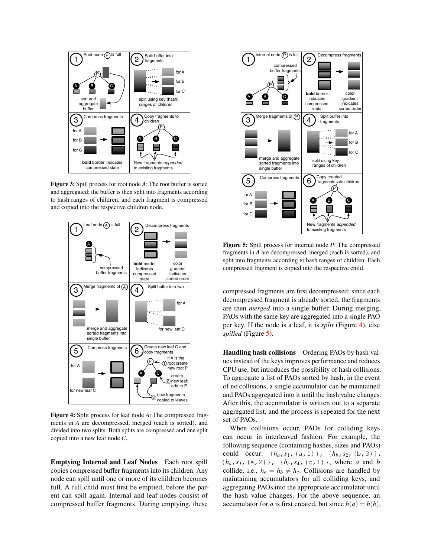<span id="page-5-0"></span>

Figure 3: Spill process for root node *A*: The root buffer is sorted and aggregated; the buffer is then split into fragments according to hash ranges of children, and each fragment is compressed and copied into the respective children node.

<span id="page-5-1"></span>

Figure 4: Split process for leaf node *A*: The compressed fragments in *A* are decompressed, merged (each is sorted), and divided into two splits. Both splits are compressed and one split copied into a new leaf node *C*.

Emptying Internal and Leaf Nodes Each root spill copies compressed buffer fragments into its children. Any node can spill until one or more of its children becomes full. A full child must first be emptied, before the parent can spill again. Internal and leaf nodes consist of compressed buffer fragments. During emptying, these

<span id="page-5-2"></span>

Figure 5: Spill process for internal node *P*: The compressed fragments in *A* are decompressed, merged (each is sorted), and split into fragments according to hash ranges of children. Each compressed fragment is copied into the respective child.

compressed fragments are first decompressed; since each decompressed fragment is already sorted, the fragments are then *merged* into a single buffer. During merging, PAOs with the same key are aggregated into a single PAO per key. If the node is a leaf, it is *split* (Figure [4\)](#page-5-1), else *spilled* (Figure [5\)](#page-5-2).

Handling hash collisions Ordering PAOs by hash values instead of the keys improves performance and reduces CPU use, but introduces the possibility of hash collisions. To aggregate a list of PAOs sorted by hash, in the event of no collisions, a single accumulator can be maintained and PAOs aggregated into it until the hash value changes. After this, the accumulator is written out to a separate aggregated list, and the process is repeated for the next set of PAOs.

When collisions occur, PAOs for colliding keys can occur in interleaved fashion. For example, the following sequence (containing hashes, sizes and PAOs) could occur:  $\{h_a, s_1, (a, 1)\}\$ ,  $\{h_b, s_2, (b, 3)\}\$ , {*ha*,*s*3,(a,2)}, {*hc*,*s*4,(c,1)}, where *a* and *b* collide, i.e.,  $h_a = h_b \neq h_c$ . Collisions are handled by maintaining accumulators for all colliding keys, and aggregating PAOs into the appropriate accumulator until the hash value changes. For the above sequence, an accumulator for *a* is first created, but since  $h(a) = h(b)$ ,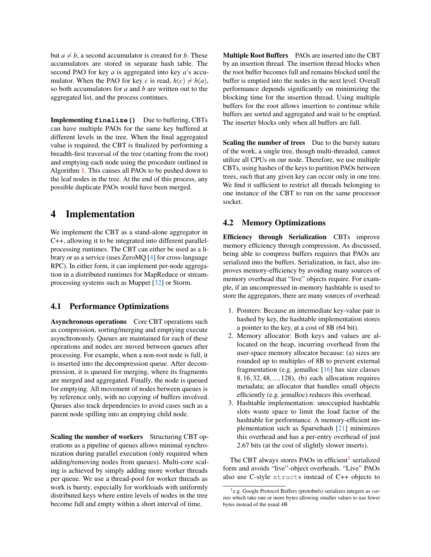but  $a \neq b$ , a second accumulator is created for *b*. These accumulators are stored in separate hash table. The second PAO for key *a* is aggregated into key *a*'s accumulator. When the PAO for key *c* is read,  $h(c) \neq h(a)$ , so both accumulators for *a* and *b* are written out to the aggregated list, and the process continues.

Implementing **finalize()** Due to buffering, CBTs can have multiple PAOs for the same key buffered at different levels in the tree. When the final aggregated value is required, the CBT is finalized by performing a breadth-first traversal of the tree (starting from the root) and emptying each node using the procedure outlined in Algorithm [1.](#page-4-0) This causes all PAOs to be pushed down to the leaf nodes in the tree. At the end of this process, any possible duplicate PAOs would have been merged.

# <span id="page-6-0"></span>4 Implementation

We implement the CBT as a stand-alone aggregator in C++, allowing it to be integrated into different parallelprocessing runtimes. The CBT can either be used as a library or as a service (uses ZeroMQ [\[4\]](#page-13-5) for cross-language RPC). In either form, it can implement per-node aggregation in a distributed runtimes for MapReduce or streamprocessing systems such as Muppet [\[32\]](#page-14-0) or Storm.

### 4.1 Performance Optimizations

Asynchronous operations Core CBT operations such as compression, sorting/merging and emptying execute asynchronously. Queues are maintained for each of these operations and nodes are moved between queues after processing. For example, when a non-root node is full, it is inserted into the decompression queue. After decompression, it is queued for merging, where its fragments are merged and aggregated. Finally, the node is queued for emptying. All movement of nodes between queues is by reference only, with no copying of buffers involved. Queues also track dependencies to avoid cases such as a parent node spilling into an emptying child node.

Scaling the number of workers Structuring CBT operations as a pipeline of queues allows minimal synchronization during parallel execution (only required when adding/removing nodes from queues). Multi-core scaling is achieved by simply adding more worker threads per queue. We use a thread-pool for worker threads as work is bursty, especially for workloads with uniformly distributed keys where entire levels of nodes in the tree become full and empty within a short interval of time.

Multiple Root Buffers PAOs are inserted into the CBT by an insertion thread. The insertion thread blocks when the root buffer becomes full and remains blocked until the buffer is emptied into the nodes in the next level. Overall performance depends significantly on minimizing the blocking time for the insertion thread. Using multiple buffers for the root allows insertion to continue while buffers are sorted and aggregated and wait to be emptied. The inserter blocks only when all buffers are full.

Scaling the number of trees Due to the bursty nature of the work, a single tree, though multi-threaded, cannot utilize all CPUs on our node. Therefore, we use multiple CBTs, using hashes of the keys to partition PAOs between trees, such that any given key can occur only in one tree. We find it sufficient to restrict all threads belonging to one instance of the CBT to run on the same processor socket.

### 4.2 Memory Optimizations

Efficiency through Serialization CBTs improve memory efficiency through compression. As discussed, being able to compress buffers requires that PAOs are serialized into the buffers. Serialization, in fact, also improves memory-efficiency by avoiding many sources of memory overhead that "live" objects require. For example, if an uncompressed in-memory hashtable is used to store the aggregators, there are many sources of overhead:

- 1. Pointers: Because an intermediate key-value pair is hashed by key, the hashtable implementation stores a pointer to the key, at a cost of 8B (64 bit).
- 2. Memory allocator: Both keys and values are allocated on the heap, incurring overhead from the user-space memory allocator because: (a) sizes are rounded up to multiples of 8B to prevent external fragmentation (e.g. jemalloc [\[16\]](#page-14-11) has size classes 8,16,32,48,...,128), (b) each allocation requires metadata; an allocator that handles small objects efficiently (e.g. jemalloc) reduces this overhead.
- 3. Hashtable implementation: unoccupied hashtable slots waste space to limit the load factor of the hashtable for performance. A memory-efficient implementation such as Sparsehash [\[21\]](#page-14-5) minimizes this overhead and has a per-entry overhead of just 2.67 bits (at the cost of slightly slower inserts).

The CBT always stores PAOs in efficient<sup>[1](#page-6-1)</sup> serialized form and avoids "live"-object overheads. "Live" PAOs also use C-style structs instead of C++ objects to

<span id="page-6-1"></span><sup>1</sup> e.g. Google Protocol Buffers (protobufs) serializes integers as *varints* which take one or more bytes allowing smaller values to use fewer bytes instead of the usual 4B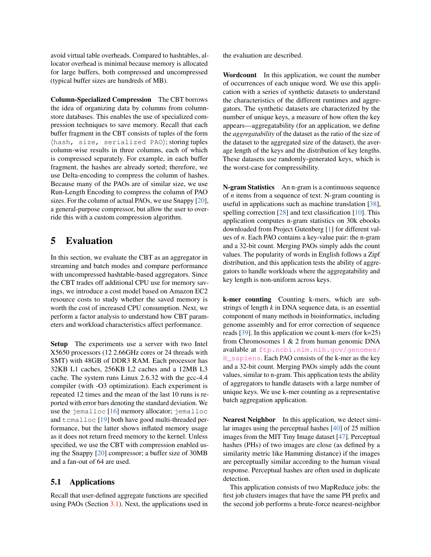avoid virtual table overheads. Compared to hashtables, allocator overhead is minimal because memory is allocated for large buffers, both compressed and uncompressed (typical buffer sizes are hundreds of MB).

Column-Specialized Compression The CBT borrows the idea of organizing data by columns from columnstore databases. This enables the use of specialized compression techniques to save memory. Recall that each buffer fragment in the CBT consists of tuples of the form  $\langle$ hash, size, serialized PAO $\rangle$ ; storing tuples column-wise results in three columns, each of which is compressed separately. For example, in each buffer fragment, the hashes are already sorted; therefore, we use Delta-encoding to compress the column of hashes. Because many of the PAOs are of similar size, we use Run-Length Encoding to compress the column of PAO sizes. For the column of actual PAOs, we use Snappy [\[20\]](#page-14-6), a general-purpose compressor, but allow the user to override this with a custom compression algorithm.

### <span id="page-7-0"></span>5 Evaluation

In this section, we evaluate the CBT as an aggregator in streaming and batch modes and compare performance with uncompressed hashtable-based aggregators. Since the CBT trades off additional CPU use for memory savings, we introduce a cost model based on Amazon EC2 resource costs to study whether the saved memory is worth the cost of increased CPU consumption. Next, we perform a factor analysis to understand how CBT parameters and workload characteristics affect performance.

Setup The experiments use a server with two Intel X5650 processors (12 2.66GHz cores or 24 threads with SMT) with 48GB of DDR3 RAM. Each processor has 32KB L1 caches, 256KB L2 caches and a 12MB L3 cache. The system runs Linux 2.6.32 with the gcc-4.4 compiler (with -O3 optimization). Each experiment is repeated 12 times and the mean of the last 10 runs is reported with error bars denoting the standard deviation. We use the jemalloc [\[16\]](#page-14-11) memory allocator; jemalloc and tcmalloc [\[19\]](#page-14-12) both have good multi-threaded performance, but the latter shows inflated memory usage as it does not return freed memory to the kernel. Unless specified, we use the CBT with compression enabled using the Snappy [\[20\]](#page-14-6) compressor; a buffer size of 30MB and a fan-out of 64 are used.

### 5.1 Applications

Recall that user-defined aggregate functions are specified using PAOs (Section [3.1\)](#page-4-2). Next, the applications used in the evaluation are described.

Wordcount In this application, we count the number of occurrences of each unique word. We use this application with a series of synthetic datasets to understand the characteristics of the different runtimes and aggregators. The synthetic datasets are characterized by the number of unique keys, a measure of how often the key appears—aggregatability (for an application, we define the *aggregatability* of the dataset as the ratio of the size of the dataset to the aggregated size of the dataset), the average length of the keys and the distribution of key lengths. These datasets use randomly-generated keys, which is the worst-case for compressibility.

N-gram Statistics An n-gram is a continuous sequence of *n* items from a sequence of text. N-gram counting is useful in applications such as machine translation [\[38\]](#page-15-9), spelling correction [\[28\]](#page-14-13) and text classification [\[10\]](#page-14-14). This application computes n-gram statistics on 30k ebooks downloaded from Project Gutenberg [\[1\]](#page-13-6) for different values of *n*. Each PAO contains a key-value pair: the n-gram and a 32-bit count. Merging PAOs simply adds the count values. The popularity of words in English follows a Zipf distribution, and this application tests the ability of aggregators to handle workloads where the aggregatability and key length is non-uniform across keys.

k-mer counting Counting k-mers, which are substrings of length *k* in DNA sequence data, is an essential component of many methods in bioinformatics, including genome assembly and for error correction of sequence reads [\[39\]](#page-15-10). In this application we count k-mers (for k=25) from Chromosomes 1 & 2 from human genomic DNA available at [ftp.ncbi.nlm.nih.gov/genomes/](ftp.ncbi.nlm.nih.gov/genomes/H_sapiens) [H\\_sapiens](ftp.ncbi.nlm.nih.gov/genomes/H_sapiens). Each PAO consists of the k-mer as the key and a 32-bit count. Merging PAOs simply adds the count values, similar to n-gram. This application tests the ability of aggregators to handle datasets with a large number of unique keys. We use k-mer counting as a representative batch aggregation application.

Nearest Neighbor In this application, we detect similar images using the perceptual hashes [\[40\]](#page-15-11) of 25 million images from the MIT Tiny Image dataset [\[47\]](#page-15-12). Perceptual hashes (PHs) of two images are close (as defined by a similarity metric like Hamming distance) if the images are perceptually similar according to the human visual response. Perceptual hashes are often used in duplicate detection.

This application consists of two MapReduce jobs: the first job clusters images that have the same PH prefix and the second job performs a brute-force nearest-neighbor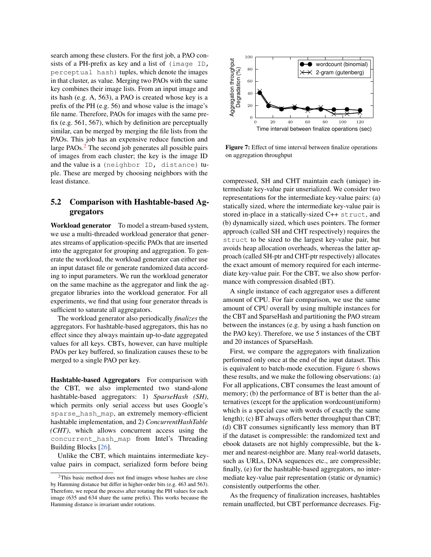search among these clusters. For the first job, a PAO consists of a PH-prefix as key and a list of (image ID, perceptual hash) tuples, which denote the images in that cluster, as value. Merging two PAOs with the same key combines their image lists. From an input image and its hash (e.g. A, 563), a PAO is created whose key is a prefix of the PH (e.g. 56) and whose value is the image's file name. Therefore, PAOs for images with the same prefix (e.g. 561, 567), which by definition are perceptually similar, can be merged by merging the file lists from the PAOs. This job has an expensive reduce function and large PAOs.<sup>[2](#page-8-0)</sup> The second job generates all possible pairs of images from each cluster; the key is the image ID and the value is a (neighbor ID, distance) tuple. These are merged by choosing neighbors with the least distance.

### 5.2 Comparison with Hashtable-based Aggregators

Workload generator To model a stream-based system, we use a multi-threaded workload generator that generates streams of application-specific PAOs that are inserted into the aggregator for grouping and aggregation. To generate the workload, the workload generator can either use an input dataset file or generate randomized data according to input parameters. We run the workload generator on the same machine as the aggregator and link the aggregator libraries into the workload generator. For all experiments, we find that using four generator threads is sufficient to saturate all aggregators.

The workload generator also periodically *finalizes* the aggregators. For hashtable-based aggregators, this has no effect since they always maintain up-to-date aggregated values for all keys. CBTs, however, can have multiple PAOs per key buffered, so finalization causes these to be merged to a single PAO per key.

Hashtable-based Aggregators For comparison with the CBT, we also implemented two stand-alone hashtable-based aggregators: 1) *SparseHash (SH)*, which permits only serial access but uses Google's sparse\_hash\_map, an extremely memory-efficient hashtable implementation, and 2) *ConcurrentHashTable (CHT)*, which allows concurrent access using the concurrent\_hash\_map from Intel's Threading Building Blocks [\[26\]](#page-14-15).

Unlike the CBT, which maintains intermediate keyvalue pairs in compact, serialized form before being

<span id="page-8-1"></span>

Figure 7: Effect of time interval between finalize operations on aggregation throughput

compressed, SH and CHT maintain each (unique) intermediate key-value pair unserialized. We consider two representations for the intermediate key-value pairs: (a) statically sized, where the intermediate key-value pair is stored in-place in a statically-sized C++ struct, and (b) dynamically sized, which uses pointers. The former approach (called SH and CHT respectively) requires the struct to be sized to the largest key-value pair, but avoids heap allocation overheads, whereas the latter approach (called SH-ptr and CHT-ptr respectively) allocates the exact amount of memory required for each intermediate key-value pair. For the CBT, we also show performance with compression disabled (BT).

A single instance of each aggregator uses a different amount of CPU. For fair comparison, we use the same amount of CPU overall by using multiple instances for the CBT and SparseHash and partitioning the PAO stream between the instances (e.g. by using a hash function on the PAO key). Therefore, we use 5 instances of the CBT and 20 instances of SparseHash.

First, we compare the aggregators with finalization performed only once at the end of the input dataset. This is equivalent to batch-mode execution. Figure [6](#page-9-1) shows these results, and we make the following observations: (a) For all applications, CBT consumes the least amount of memory; (b) the performance of BT is better than the alternatives (except for the application wordcount(uniform) which is a special case with words of exactly the same length); (c) BT always offers better throughput than CBT; (d) CBT consumes significantly less memory than BT if the dataset is compressible: the randomized text and ebook datasets are not highly compressible, but the kmer and nearest-neighbor are. Many real-world datasets, such as URLs, DNA sequences etc., are compressible; finally, (e) for the hashtable-based aggregators, no intermediate key-value pair representation (static or dynamic) consistently outperforms the other.

As the frequency of finalization increases, hashtables remain unaffected, but CBT performance decreases. Fig-

<span id="page-8-0"></span><sup>2</sup>This basic method does not find images whose hashes are close by Hamming distance but differ in higher-order bits (e.g. 463 and 563). Therefore, we repeat the process after rotating the PH values for each image (635 and 634 share the same prefix). This works because the Hamming distance is invariant under rotations.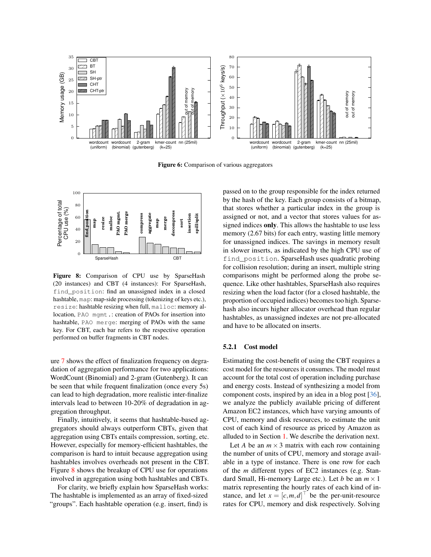<span id="page-9-1"></span>

Figure 6: Comparison of various aggregators

<span id="page-9-2"></span>

Figure 8: Comparison of CPU use by SparseHash (20 instances) and CBT (4 instances): For SparseHash, find position: find an unassigned index in a closed hashtable, map: map-side processing (tokenizing of keys etc.), resize: hashtable resizing when full, malloc: memory allocation, PAO mgmt.: creation of PAOs for insertion into hashtable, PAO merge: merging of PAOs with the same key. For CBT, each bar refers to the respective operation performed on buffer fragments in CBT nodes.

ure [7](#page-8-1) shows the effect of finalization frequency on degradation of aggregation performance for two applications: WordCount (Binomial) and 2-gram (Gutenberg). It can be seen that while frequent finalization (once every 5s) can lead to high degradation, more realistic inter-finalize intervals lead to between 10-20% of degradation in aggregation throughput.

Finally, intuitively, it seems that hashtable-based aggregators should always outperform CBTs, given that aggregation using CBTs entails compression, sorting, etc. However, especially for memory-efficient hashtables, the comparison is hard to intuit because aggregation using hashtables involves overheads not present in the CBT. Figure [8](#page-9-2) shows the breakup of CPU use for operations involved in aggregation using both hashtables and CBTs.

For clarity, we briefly explain how SparseHash works: The hashtable is implemented as an array of fixed-sized "groups". Each hashtable operation (e.g. insert, find) is

passed on to the group responsible for the index returned by the hash of the key. Each group consists of a bitmap, that stores whether a particular index in the group is assigned or not, and a vector that stores values for assigned indices only. This allows the hashtable to use less memory (2.67 bits) for each entry, wasting little memory for unassigned indices. The savings in memory result in slower inserts, as indicated by the high CPU use of find\_position. SparseHash uses quadratic probing for collision resolution; during an insert, multiple string comparisons might be performed along the probe sequence. Like other hashtables, SparseHash also requires resizing when the load factor (for a closed hashtable, the proportion of occupied indices) becomes too high. Sparsehash also incurs higher allocator overhead than regular hashtables, as unassigned indexes are not pre-allocated and have to be allocated on inserts.

#### <span id="page-9-0"></span>5.2.1 Cost model

Estimating the cost-benefit of using the CBT requires a cost model for the resources it consumes. The model must account for the total cost of operation including purchase and energy costs. Instead of synthesizing a model from component costs, inspired by an idea in a blog post [\[36\]](#page-15-13), we analyze the publicly available pricing of different Amazon EC2 instances, which have varying amounts of CPU, memory and disk resources, to estimate the unit cost of each kind of resource as priced by Amazon as alluded to in Section [1.](#page-0-1) We describe the derivation next.

Let *A* be an  $m \times 3$  matrix with each row containing the number of units of CPU, memory and storage available in a type of instance. There is one row for each of the *m* different types of EC2 instances (e.g. Standard Small, Hi-memory Large etc.). Let *b* be an  $m \times 1$ matrix representing the hourly rates of each kind of instance, and let  $x = [c, m, d]$  be the per-unit-resource rates for CPU, memory and disk respectively. Solving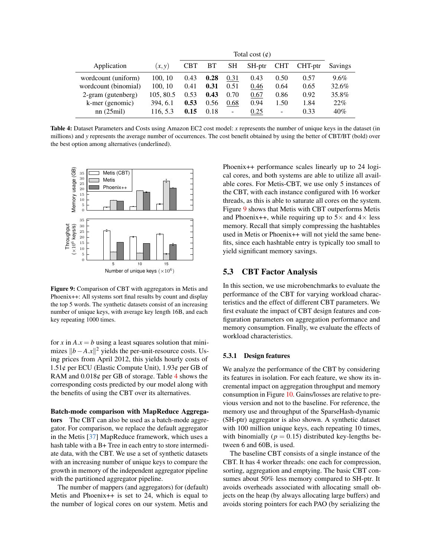<span id="page-10-0"></span>

|                      |           | Total cost $(\phi)$ |           |                          |        |            |         |         |
|----------------------|-----------|---------------------|-----------|--------------------------|--------|------------|---------|---------|
| Application          | (x, y)    | <b>CBT</b>          | <b>BT</b> | SН                       | SH-ptr | <b>CHT</b> | CHT-ptr | Savings |
| wordcount (uniform)  | 100, 10   | 0.43                | 0.28      | 0.31                     | 0.43   | 0.50       | 0.57    | $9.6\%$ |
| wordcount (binomial) | 100, 10   | 0.41                | 0.31      | 0.51                     | 0.46   | 0.64       | 0.65    | 32.6%   |
| 2-gram (gutenberg)   | 105, 80.5 | 0.53                | 0.43      | 0.70                     | 0.67   | 0.86       | 0.92    | 35.8%   |
| k-mer (genomic)      | 394, 6.1  | 0.53                | 0.56      | 0.68                     | 0.94   | 1.50       | 1.84    | 22%     |
| nn(25mil)            | 116, 5.3  | 0.15                | 0.18      | $\overline{\phantom{a}}$ | 0.25   | ۰          | 0.33    | 40%     |

Table 4: Dataset Parameters and Costs using Amazon EC2 cost model: *x* represents the number of unique keys in the dataset (in millions) and *y* represents the average number of occurrences. The cost benefit obtained by using the better of CBT/BT (bold) over the best option among alternatives (underlined).

<span id="page-10-1"></span>

Figure 9: Comparison of CBT with aggregators in Metis and Phoenix++: All systems sort final results by count and display the top 5 words. The synthetic datasets consist of an increasing number of unique keys, with average key length 16B, and each key repeating 1000 times.

for *x* in  $A.x = b$  using a least squares solution that minimizes  $||b - A.x||^2$  yields the per-unit-resource costs. Using prices from April 2012, this yields hourly costs of 1.51¢ per ECU (Elastic Compute Unit), 1.93¢ per GB of RAM and  $0.018\phi$  per GB of storage. Table [4](#page-10-0) shows the corresponding costs predicted by our model along with the benefits of using the CBT over its alternatives.

#### Batch-mode comparison with MapReduce Aggrega-

tors The CBT can also be used as a batch-mode aggregator. For comparison, we replace the default aggregator in the Metis [\[37\]](#page-15-4) MapReduce framework, which uses a hash table with a B+ Tree in each entry to store intermediate data, with the CBT. We use a set of synthetic datasets with an increasing number of unique keys to compare the growth in memory of the independent aggregator pipeline with the partitioned aggregator pipeline.

The number of mappers (and aggregators) for (default) Metis and Phoenix++ is set to 24, which is equal to the number of logical cores on our system. Metis and Phoenix++ performance scales linearly up to 24 logical cores, and both systems are able to utilize all available cores. For Metis-CBT, we use only 5 instances of the CBT, with each instance configured with 16 worker threads, as this is able to saturate all cores on the system. Figure [9](#page-10-1) shows that Metis with CBT outperforms Metis and Phoenix++, while requiring up to  $5\times$  and  $4\times$  less memory. Recall that simply compressing the hashtables used in Metis or Phoenix++ will not yield the same benefits, since each hashtable entry is typically too small to yield significant memory savings.

### 5.3 CBT Factor Analysis

In this section, we use microbenchmarks to evaluate the performance of the CBT for varying workload characteristics and the effect of different CBT parameters. We first evaluate the impact of CBT design features and configuration parameters on aggregation performance and memory consumption. Finally, we evaluate the effects of workload characteristics.

#### 5.3.1 Design features

We analyze the performance of the CBT by considering its features in isolation. For each feature, we show its incremental impact on aggregation throughput and memory consumption in Figure [10.](#page-11-0) Gains/losses are relative to previous version and not to the baseline. For reference, the memory use and throughput of the SparseHash-dynamic (SH-ptr) aggregator is also shown. A synthetic dataset with 100 million unique keys, each repeating 10 times, with binomially ( $p = 0.15$ ) distributed key-lengths between 6 and 60B, is used.

The baseline CBT consists of a single instance of the CBT. It has 4 worker threads: one each for compression, sorting, aggregation and emptying. The basic CBT consumes about 50% less memory compared to SH-ptr. It avoids overheads associated with allocating small objects on the heap (by always allocating large buffers) and avoids storing pointers for each PAO (by serializing the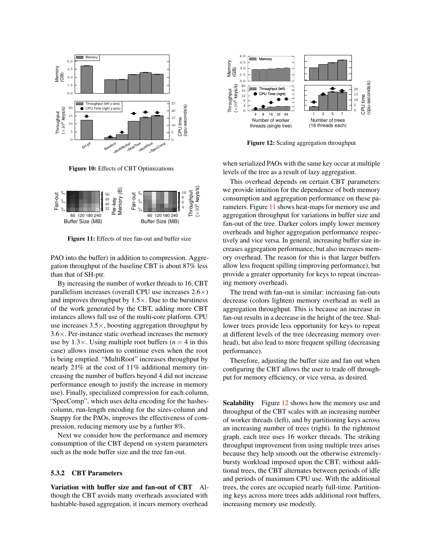<span id="page-11-0"></span>

Figure 10: Effects of CBT Optimizations

<span id="page-11-1"></span>

Figure 11: Effects of tree fan-out and buffer size

PAO into the buffer) in addition to compression. Aggregation throughput of the baseline CBT is about 87% less than that of SH-ptr.

By increasing the number of worker threads to 16, CBT parallelism increases (overall CPU use increases  $2.6\times$ ) and improves throughput by  $1.5 \times$ . Due to the burstiness of the work generated by the CBT, adding more CBT instances allows full use of the multi-core platform. CPU use increases  $3.5 \times$ , boosting aggregation throughput by  $3.6\times$ . Per-instance static overhead increases the memory use by 1.3 $\times$ . Using multiple root buffers ( $n = 4$  in this case) allows insertion to continue even when the root is being emptied. "MultiRoot" increases throughput by nearly 21% at the cost of 11% additional memory (increasing the number of buffers beyond 4 did not increase performance enough to justify the increase in memory use). Finally, specialized compression for each column, "SpecComp", which uses delta encoding for the hashescolumn, run-length encoding for the sizes-column and Snappy for the PAOs, improves the effectiveness of compression, reducing memory use by a further 8%.

Next we consider how the performance and memory consumption of the CBT depend on system parameters such as the node buffer size and the tree fan-out.

#### 5.3.2 CBT Parameters

Variation with buffer size and fan-out of CBT Although the CBT avoids many overheads associated with hashtable-based aggregation, it incurs memory overhead

<span id="page-11-2"></span>

Figure 12: Scaling aggregation throughput

when serialized PAOs with the same key occur at multiple levels of the tree as a result of lazy aggregation.

This overhead depends on certain CBT parameters: we provide intuition for the dependence of both memory consumption and aggregation performance on these parameters. Figure [11](#page-11-1) shows heat-maps for memory use and aggregation throughput for variations in buffer size and fan-out of the tree. Darker colors imply lower memory overheads and higher aggregation performance respectively and vice versa. In general, increasing buffer size increases aggregation performance, but also increases memory overhead. The reason for this is that larger buffers allow less frequent spilling (improving performance), but provide a greater opportunity for keys to repeat (increasing memory overhead).

The trend with fan-out is similar: increasing fan-outs decrease (colors lighten) memory overhead as well as aggregation throughput. This is because an increase in fan-out results in a decrease in the height of the tree. Shallower trees provide less opportunity for keys to repeat at different levels of the tree (decreasing memory overhead), but also lead to more frequent spilling (decreasing performance).

Therefore, adjusting the buffer size and fan out when configuring the CBT allows the user to trade off throughput for memory efficiency, or vice versa, as desired.

**Scalability** Figure [12](#page-11-2) shows how the memory use and throughput of the CBT scales with an increasing number of worker threads (left), and by partitioning keys across an increasing number of trees (right). In the rightmost graph, each tree uses 16 worker threads. The striking throughput improvement from using multiple trees arises because they help smooth out the otherwise extremelybursty workload imposed upon the CBT; without additional trees, the CBT alternates between periods of idle and periods of maximum CPU use. With the additional trees, the cores are occupied nearly full-time. Partitioning keys across more trees adds additional root buffers, increasing memory use modestly.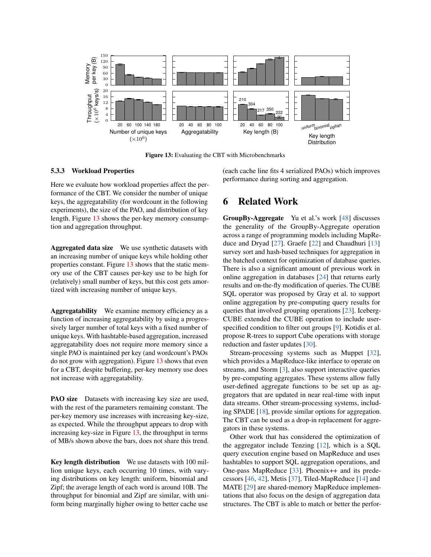<span id="page-12-0"></span>

Figure 13: Evaluating the CBT with Microbenchmarks

#### 5.3.3 Workload Properties

Here we evaluate how workload properties affect the performance of the CBT. We consider the number of unique keys, the aggregatability (for wordcount in the following experiments), the size of the PAO, and distribution of key length. Figure [13](#page-12-0) shows the per-key memory consumption and aggregation throughput.

Aggregated data size We use synthetic datasets with an increasing number of unique keys while holding other properties constant. Figure [13](#page-12-0) shows that the static memory use of the CBT causes per-key use to be high for (relatively) small number of keys, but this cost gets amortized with increasing number of unique keys.

Aggregatability We examine memory efficiency as a function of increasing aggregatability by using a progressively larger number of total keys with a fixed number of unique keys. With hashtable-based aggregation, increased aggregatability does not require more memory since a single PAO is maintained per key (and wordcount's PAOs do not grow with aggregation). Figure [13](#page-12-0) shows that even for a CBT, despite buffering, per-key memory use does not increase with aggregatability.

PAO size Datasets with increasing key size are used, with the rest of the parameters remaining constant. The per-key memory use increases with increasing key-size, as expected. While the throughput appears to drop with increasing key-size in Figure [13,](#page-12-0) the throughput in terms of MB/s shown above the bars, does not share this trend.

Key length distribution We use datasets with 100 million unique keys, each occurring 10 times, with varying distributions on key length: uniform, binomial and Zipf; the average length of each word is around 10B. The throughput for binomial and Zipf are similar, with uniform being marginally higher owing to better cache use

(each cache line fits 4 serialized PAOs) which improves performance during sorting and aggregation.

# 6 Related Work

GroupBy-Aggregate Yu et al.'s work [\[48\]](#page-15-2) discusses the generality of the GroupBy-Aggregate operation across a range of programming models including MapReduce and Dryad [\[27\]](#page-14-16). Graefe [\[22\]](#page-14-4) and Chaudhuri [\[13\]](#page-14-17) survey sort and hash-based techniques for aggregation in the batched context for optimization of database queries. There is also a significant amount of previous work in online aggregation in databases [\[24\]](#page-14-18) that returns early results and on-the-fly modification of queries. The CUBE SQL operator was proposed by Gray et al. to support online aggregation by pre-computing query results for queries that involved grouping operations [\[23\]](#page-14-19). Iceberg-CUBE extended the CUBE operation to include user-specified condition to filter out groups [\[9\]](#page-14-20). Kotidis et al. propose R-trees to support Cube operations with storage reduction and faster updates [\[30\]](#page-14-21).

Stream-processing systems such as Muppet [\[32\]](#page-14-0), which provides a MapReduce-like interface to operate on streams, and Storm [\[3\]](#page-13-0), also support interactive queries by pre-computing aggregates. These systems allow fully user-defined aggregate functions to be set up as aggregators that are updated in near real-time with input data streams. Other stream-processing systems, including SPADE [\[18\]](#page-14-22), provide similar options for aggregation. The CBT can be used as a drop-in replacement for aggregators in these systems.

Other work that has considered the optimization of the aggregator include Tenzing [\[12\]](#page-14-2), which is a SQL query execution engine based on MapReduce and uses hashtables to support SQL aggregation operations, and One-pass MapReduce [\[33\]](#page-14-23). Phoenix++ and its predecessors [\[46,](#page-15-14) [42\]](#page-15-3), Metis [\[37\]](#page-15-4), Tiled-MapReduce [\[14\]](#page-14-24) and MATE [\[29\]](#page-14-25) are shared-memory MapReduce implementations that also focus on the design of aggregation data structures. The CBT is able to match or better the perfor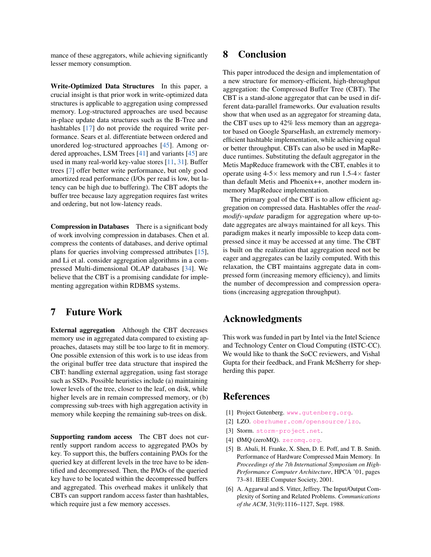mance of these aggregators, while achieving significantly lesser memory consumption.

Write-Optimized Data Structures In this paper, a crucial insight is that prior work in write-optimized data structures is applicable to aggregation using compressed memory. Log-structured approaches are used because in-place update data structures such as the B-Tree and hashtables [\[17\]](#page-14-7) do not provide the required write performance. Sears et al. differentiate between ordered and unordered log-structured approaches [\[45\]](#page-15-15). Among ordered approaches, LSM Trees [\[41\]](#page-15-7) and variants [\[45\]](#page-15-15) are used in many real-world key-value stores [\[11,](#page-14-9) [31\]](#page-14-26). Buffer trees [\[7\]](#page-14-3) offer better write performance, but only good amortized read performance (I/Os per read is low, but latency can be high due to buffering). The CBT adopts the buffer tree because lazy aggregation requires fast writes and ordering, but not low-latency reads.

Compression in Databases There is a significant body of work involving compression in databases. Chen et al. compress the contents of databases, and derive optimal plans for queries involving compressed attributes [\[15\]](#page-14-27), and Li et al. consider aggregation algorithms in a compressed Multi-dimensional OLAP databases [\[34\]](#page-14-28). We believe that the CBT is a promising candidate for implementing aggregation within RDBMS systems.

### <span id="page-13-4"></span>7 Future Work

External aggregation Although the CBT decreases memory use in aggregated data compared to existing approaches, datasets may still be too large to fit in memory. One possible extension of this work is to use ideas from the original buffer tree data structure that inspired the CBT: handling external aggregation, using fast storage such as SSDs. Possible heuristics include (a) maintaining lower levels of the tree, closer to the leaf, on disk, while higher levels are in remain compressed memory, or (b) compressing sub-trees with high aggregation activity in memory while keeping the remaining sub-trees on disk.

Supporting random access The CBT does not currently support random access to aggregated PAOs by key. To support this, the buffers containing PAOs for the queried key at different levels in the tree have to be identified and decompressed. Then, the PAOs of the queried key have to be located within the decompressed buffers and aggregated. This overhead makes it unlikely that CBTs can support random access faster than hashtables, which require just a few memory accesses.

# 8 Conclusion

This paper introduced the design and implementation of a new structure for memory-efficient, high-throughput aggregation: the Compressed Buffer Tree (CBT). The CBT is a stand-alone aggregator that can be used in different data-parallel frameworks. Our evaluation results show that when used as an aggregator for streaming data, the CBT uses up to 42% less memory than an aggregator based on Google SparseHash, an extremely memoryefficient hashtable implementation, while achieving equal or better throughput. CBTs can also be used in MapReduce runtimes. Substituting the default aggregator in the Metis MapReduce framework with the CBT, enables it to operate using  $4-5\times$  less memory and run  $1.5-4\times$  faster than default Metis and Phoenix++, another modern inmemory MapReduce implementation.

The primary goal of the CBT is to allow efficient aggregation on compressed data. Hashtables offer the *readmodify-update* paradigm for aggregation where up-todate aggregates are always maintained for all keys. This paradigm makes it nearly impossible to keep data compressed since it may be accessed at any time. The CBT is built on the realization that aggregation need not be eager and aggregates can be lazily computed. With this relaxation, the CBT maintains aggregate data in compressed form (increasing memory efficiency), and limits the number of decompression and compression operations (increasing aggregation throughput).

### Acknowledgments

This work was funded in part by Intel via the Intel Science and Technology Center on Cloud Computing (ISTC-CC). We would like to thank the SoCC reviewers, and Vishal Gupta for their feedback, and Frank McSherry for shepherding this paper.

### References

- <span id="page-13-6"></span>[1] Project Gutenberg. <www.gutenberg.org>.
- <span id="page-13-3"></span>[2] LZO. <oberhumer.com/opensource/lzo>.
- <span id="page-13-0"></span>[3] Storm. <storm-project.net>.
- <span id="page-13-5"></span>[4] ØMQ (zeroMQ). <zeromq.org>.
- <span id="page-13-1"></span>[5] B. Abali, H. Franke, X. Shen, D. E. Poff, and T. B. Smith. Performance of Hardware Compressed Main Memory. In *Proceedings of the 7th International Symposium on High-Performance Computer Architecture*, HPCA '01, pages 73–81. IEEE Computer Society, 2001.
- <span id="page-13-2"></span>[6] A. Aggarwal and S. Vitter, Jeffrey. The Input/Output Complexity of Sorting and Related Problems. *Communications of the ACM*, 31(9):1116–1127, Sept. 1988.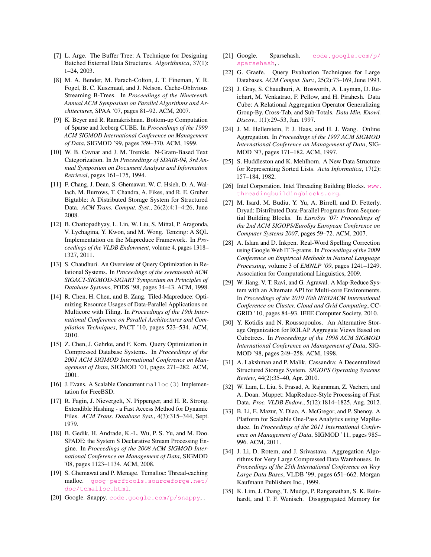- <span id="page-14-3"></span>[7] L. Arge. The Buffer Tree: A Technique for Designing Batched External Data Structures. *Algorithmica*, 37(1): 1–24, 2003.
- <span id="page-14-8"></span>[8] M. A. Bender, M. Farach-Colton, J. T. Fineman, Y. R. Fogel, B. C. Kuszmaul, and J. Nelson. Cache-Oblivious Streaming B-Trees. In *Proceedings of the Nineteenth Annual ACM Symposium on Parallel Algorithms and Architectures*, SPAA '07, pages 81–92. ACM, 2007.
- <span id="page-14-20"></span>[9] K. Beyer and R. Ramakrishnan. Bottom-up Computation of Sparse and Iceberg CUBE. In *Proceedings of the 1999 ACM SIGMOD International Conference on Management of Data*, SIGMOD '99, pages 359–370. ACM, 1999.
- <span id="page-14-14"></span>[10] W. B. Cavnar and J. M. Trenkle. N-Gram-Based Text Categorization. In *In Proceedings of SDAIR-94, 3rd Annual Symposium on Document Analysis and Information Retrieval*, pages 161–175, 1994.
- <span id="page-14-9"></span>[11] F. Chang, J. Dean, S. Ghemawat, W. C. Hsieh, D. A. Wallach, M. Burrows, T. Chandra, A. Fikes, and R. E. Gruber. Bigtable: A Distributed Storage System for Structured Data. *ACM Trans. Comput. Syst.*, 26(2):4:1–4:26, June 2008.
- <span id="page-14-2"></span>[12] B. Chattopadhyay, L. Lin, W. Liu, S. Mittal, P. Aragonda, V. Lychagina, Y. Kwon, and M. Wong. Tenzing: A SQL Implementation on the Mapreduce Framework. In *Proceedings of the VLDB Endowment*, volume 4, pages 1318– 1327, 2011.
- <span id="page-14-17"></span>[13] S. Chaudhuri. An Overview of Query Optimization in Relational Systems. In *Proceedings of the seventeenth ACM SIGACT-SIGMOD-SIGART Symposium on Principles of Database Systems*, PODS '98, pages 34–43. ACM, 1998.
- <span id="page-14-24"></span>[14] R. Chen, H. Chen, and B. Zang. Tiled-Mapreduce: Optimizing Resource Usages of Data-Parallel Applications on Multicore with Tiling. In *Proceedings of the 19th International Conference on Parallel Architectures and Compilation Techniques*, PACT '10, pages 523–534. ACM, 2010.
- <span id="page-14-27"></span>[15] Z. Chen, J. Gehrke, and F. Korn. Query Optimization in Compressed Database Systems. In *Proceedings of the 2001 ACM SIGMOD International Conference on Management of Data*, SIGMOD '01, pages 271–282. ACM, 2001.
- <span id="page-14-11"></span>[16] J. Evans. A Scalable Concurrent malloc(3) Implementation for FreeBSD.
- <span id="page-14-7"></span>[17] R. Fagin, J. Nievergelt, N. Pippenger, and H. R. Strong. Extendible Hashing - a Fast Access Method for Dynamic Files. *ACM Trans. Database Syst.*, 4(3):315–344, Sept. 1979.
- <span id="page-14-22"></span>[18] B. Gedik, H. Andrade, K.-L. Wu, P. S. Yu, and M. Doo. SPADE: the System S Declarative Stream Processing Engine. In *Proceedings of the 2008 ACM SIGMOD International Conference on Management of Data*, SIGMOD '08, pages 1123–1134. ACM, 2008.
- <span id="page-14-12"></span>[19] S. Ghemawat and P. Menage. Tcmalloc: Thread-caching malloc. [goog-perftools.sourceforge.net/](goog-perftools.sourceforge.net/doc/tcmalloc.html) [doc/tcmalloc.html](goog-perftools.sourceforge.net/doc/tcmalloc.html).
- <span id="page-14-6"></span>[20] Google. Snappy. <code.google.com/p/snappy>,.
- <span id="page-14-5"></span>[21] Google. Sparsehash. [code.google.com/p/](code.google.com/p/sparsehash) [sparsehash](code.google.com/p/sparsehash), .
- <span id="page-14-4"></span>[22] G. Graefe. Query Evaluation Techniques for Large Databases. *ACM Comput. Surv.*, 25(2):73–169, June 1993.
- <span id="page-14-19"></span>[23] J. Gray, S. Chaudhuri, A. Bosworth, A. Layman, D. Reichart, M. Venkatrao, F. Pellow, and H. Pirahesh. Data Cube: A Relational Aggregation Operator Generalizing Group-By, Cross-Tab, and Sub-Totals. *Data Min. Knowl. Discov.*, 1(1):29–53, Jan. 1997.
- <span id="page-14-18"></span>[24] J. M. Hellerstein, P. J. Haas, and H. J. Wang. Online Aggregation. In *Proceedings of the 1997 ACM SIGMOD International Conference on Management of Data*, SIG-MOD '97, pages 171–182. ACM, 1997.
- <span id="page-14-10"></span>[25] S. Huddleston and K. Mehlhorn. A New Data Structure for Representing Sorted Lists. *Acta Informatica*, 17(2): 157–184, 1982.
- <span id="page-14-15"></span>[26] Intel Corporation. Intel Threading Building Blocks. [www.](www.threadingbuildingblocks.org) [threadingbuildingblocks.org](www.threadingbuildingblocks.org).
- <span id="page-14-16"></span>[27] M. Isard, M. Budiu, Y. Yu, A. Birrell, and D. Fetterly. Dryad: Distributed Data-Parallel Programs from Sequential Building Blocks. In *EuroSys '07: Proceedings of the 2nd ACM SIGOPS/EuroSys European Conference on Computer Systems 2007*, pages 59–72. ACM, 2007.
- <span id="page-14-13"></span>[28] A. Islam and D. Inkpen. Real-Word Spelling Correction using Google Web IT 3-grams. In *Proceedings of the 2009 Conference on Empirical Methods in Natural Language Processing*, volume 3 of *EMNLP '09*, pages 1241–1249. Association for Computational Linguistics, 2009.
- <span id="page-14-25"></span>[29] W. Jiang, V. T. Ravi, and G. Agrawal. A Map-Reduce System with an Alternate API for Multi-core Environments. In *Proceedings of the 2010 10th IEEE/ACM International Conference on Cluster, Cloud and Grid Computing*, CC-GRID '10, pages 84–93. IEEE Computer Society, 2010.
- <span id="page-14-21"></span>[30] Y. Kotidis and N. Roussopoulos. An Alternative Storage Organization for ROLAP Aggregate Views Based on Cubetrees. In *Proceedings of the 1998 ACM SIGMOD International Conference on Management of Data*, SIG-MOD '98, pages 249–258. ACM, 1998.
- <span id="page-14-26"></span>[31] A. Lakshman and P. Malik. Cassandra: A Decentralized Structured Storage System. *SIGOPS Operating Systems Review*, 44(2):35–40, Apr. 2010.
- <span id="page-14-0"></span>[32] W. Lam, L. Liu, S. Prasad, A. Rajaraman, Z. Vacheri, and A. Doan. Muppet: MapReduce-Style Processing of Fast Data. *Proc. VLDB Endow.*, 5(12):1814–1825, Aug. 2012.
- <span id="page-14-23"></span>[33] B. Li, E. Mazur, Y. Diao, A. McGregor, and P. Shenoy. A Platform for Scalable One-Pass Analytics using MapReduce. In *Proceedings of the 2011 International Conference on Management of Data*, SIGMOD '11, pages 985– 996. ACM, 2011.
- <span id="page-14-28"></span>[34] J. Li, D. Rotem, and J. Srivastava. Aggregation Algorithms for Very Large Compressed Data Warehouses. In *Proceedings of the 25th International Conference on Very Large Data Bases*, VLDB '99, pages 651–662. Morgan Kaufmann Publishers Inc., 1999.
- <span id="page-14-1"></span>[35] K. Lim, J. Chang, T. Mudge, P. Ranganathan, S. K. Reinhardt, and T. F. Wenisch. Disaggregated Memory for